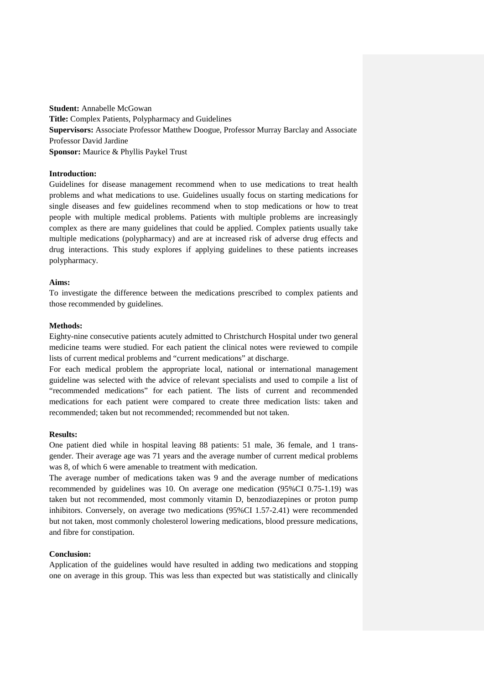**Student:** Annabelle McGowan **Title:** Complex Patients, Polypharmacy and Guidelines **Supervisors:** Associate Professor Matthew Doogue, Professor Murray Barclay and Associate Professor David Jardine **Sponsor:** Maurice & Phyllis Paykel Trust

# **Introduction:**

Guidelines for disease management recommend when to use medications to treat health problems and what medications to use. Guidelines usually focus on starting medications for single diseases and few guidelines recommend when to stop medications or how to treat people with multiple medical problems. Patients with multiple problems are increasingly complex as there are many guidelines that could be applied. Complex patients usually take multiple medications (polypharmacy) and are at increased risk of adverse drug effects and drug interactions. This study explores if applying guidelines to these patients increases polypharmacy.

## **Aims:**

To investigate the difference between the medications prescribed to complex patients and those recommended by guidelines.

## **Methods:**

Eighty-nine consecutive patients acutely admitted to Christchurch Hospital under two general medicine teams were studied. For each patient the clinical notes were reviewed to compile lists of current medical problems and "current medications" at discharge.

For each medical problem the appropriate local, national or international management guideline was selected with the advice of relevant specialists and used to compile a list of "recommended medications" for each patient. The lists of current and recommended medications for each patient were compared to create three medication lists: taken and recommended; taken but not recommended; recommended but not taken.

### **Results:**

One patient died while in hospital leaving 88 patients: 51 male, 36 female, and 1 transgender. Their average age was 71 years and the average number of current medical problems was 8, of which 6 were amenable to treatment with medication.

The average number of medications taken was 9 and the average number of medications recommended by guidelines was 10. On average one medication (95%CI 0.75-1.19) was taken but not recommended, most commonly vitamin D, benzodiazepines or proton pump inhibitors. Conversely, on average two medications (95%CI 1.57-2.41) were recommended but not taken, most commonly cholesterol lowering medications, blood pressure medications, and fibre for constipation.

#### **Conclusion:**

Application of the guidelines would have resulted in adding two medications and stopping one on average in this group. This was less than expected but was statistically and clinically